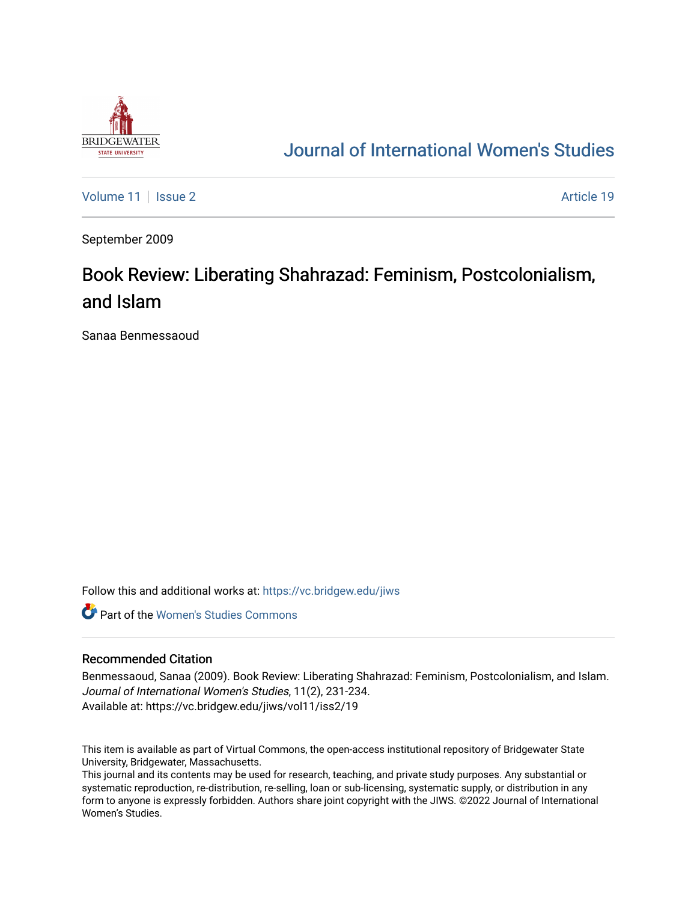

## [Journal of International Women's Studies](https://vc.bridgew.edu/jiws)

[Volume 11](https://vc.bridgew.edu/jiws/vol11) | [Issue 2](https://vc.bridgew.edu/jiws/vol11/iss2) Article 19

September 2009

# Book Review: Liberating Shahrazad: Feminism, Postcolonialism, and Islam

Sanaa Benmessaoud

Follow this and additional works at: [https://vc.bridgew.edu/jiws](https://vc.bridgew.edu/jiws?utm_source=vc.bridgew.edu%2Fjiws%2Fvol11%2Fiss2%2F19&utm_medium=PDF&utm_campaign=PDFCoverPages)

**C** Part of the Women's Studies Commons

#### Recommended Citation

Benmessaoud, Sanaa (2009). Book Review: Liberating Shahrazad: Feminism, Postcolonialism, and Islam. Journal of International Women's Studies, 11(2), 231-234. Available at: https://vc.bridgew.edu/jiws/vol11/iss2/19

This item is available as part of Virtual Commons, the open-access institutional repository of Bridgewater State University, Bridgewater, Massachusetts.

This journal and its contents may be used for research, teaching, and private study purposes. Any substantial or systematic reproduction, re-distribution, re-selling, loan or sub-licensing, systematic supply, or distribution in any form to anyone is expressly forbidden. Authors share joint copyright with the JIWS. ©2022 Journal of International Women's Studies.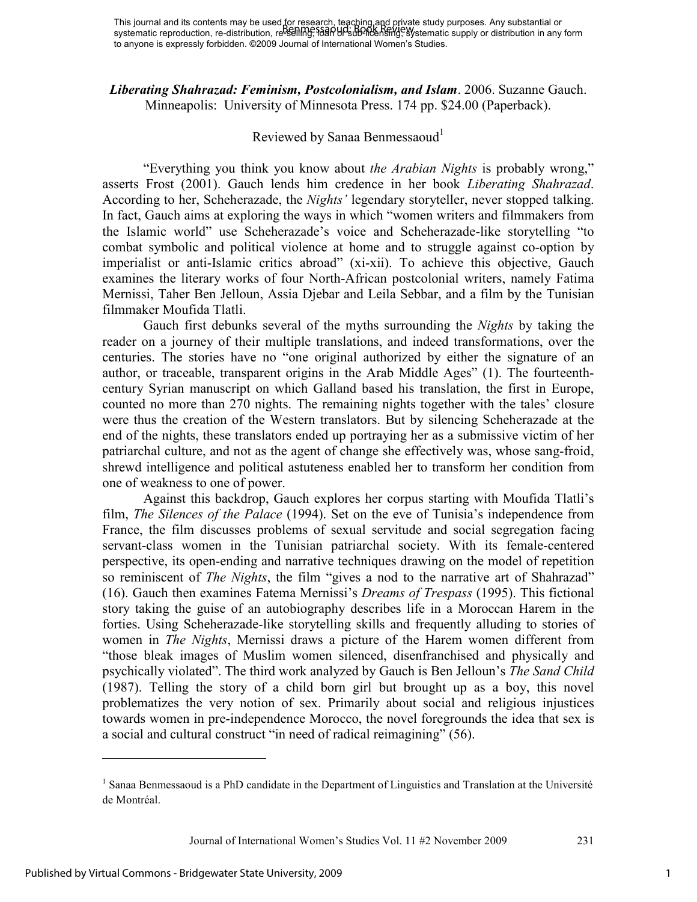*Liberating Shahrazad: Feminism, Postcolonialism, and Islam*. 2006. Suzanne Gauch. Minneapolis: University of Minnesota Press. 174 pp. \$24.00 (Paperback).

## Reviewed by Sanaa Benmessaoud<sup>1</sup>

"Everything you think you know about *the Arabian Nights* is probably wrong," asserts Frost (2001). Gauch lends him credence in her book *Liberating Shahrazad*. According to her, Scheherazade, the *Nights'* legendary storyteller, never stopped talking. In fact, Gauch aims at exploring the ways in which "women writers and filmmakers from the Islamic world" use Scheherazade's voice and Scheherazade-like storytelling "to combat symbolic and political violence at home and to struggle against co-option by imperialist or anti-Islamic critics abroad" (xi-xii). To achieve this objective, Gauch examines the literary works of four North-African postcolonial writers, namely Fatima Mernissi, Taher Ben Jelloun, Assia Djebar and Leila Sebbar, and a film by the Tunisian filmmaker Moufida Tlatli.

Gauch first debunks several of the myths surrounding the *Nights* by taking the reader on a journey of their multiple translations, and indeed transformations, over the centuries. The stories have no "one original authorized by either the signature of an author, or traceable, transparent origins in the Arab Middle Ages" (1). The fourteenthcentury Syrian manuscript on which Galland based his translation, the first in Europe, counted no more than 270 nights. The remaining nights together with the tales' closure were thus the creation of the Western translators. But by silencing Scheherazade at the end of the nights, these translators ended up portraying her as a submissive victim of her patriarchal culture, and not as the agent of change she effectively was, whose sang-froid, shrewd intelligence and political astuteness enabled her to transform her condition from one of weakness to one of power.

Against this backdrop, Gauch explores her corpus starting with Moufida Tlatli's film, *The Silences of the Palace* (1994). Set on the eve of Tunisia's independence from France, the film discusses problems of sexual servitude and social segregation facing servant-class women in the Tunisian patriarchal society. With its female-centered perspective, its open-ending and narrative techniques drawing on the model of repetition so reminiscent of *The Nights*, the film "gives a nod to the narrative art of Shahrazad" (16). Gauch then examines Fatema Mernissi's *Dreams of Trespass* (1995). This fictional story taking the guise of an autobiography describes life in a Moroccan Harem in the forties. Using Scheherazade-like storytelling skills and frequently alluding to stories of women in *The Nights*, Mernissi draws a picture of the Harem women different from "those bleak images of Muslim women silenced, disenfranchised and physically and psychically violated". The third work analyzed by Gauch is Ben Jelloun's *The Sand Child*  (1987). Telling the story of a child born girl but brought up as a boy, this novel problematizes the very notion of sex. Primarily about social and religious injustices towards women in pre-independence Morocco, the novel foregrounds the idea that sex is a social and cultural construct "in need of radical reimagining" (56).

Journal of International Women's Studies Vol. 11 #2 November 2009 231

l

1

<sup>&</sup>lt;sup>1</sup> Sanaa Benmessaoud is a PhD candidate in the Department of Linguistics and Translation at the Université de Montréal.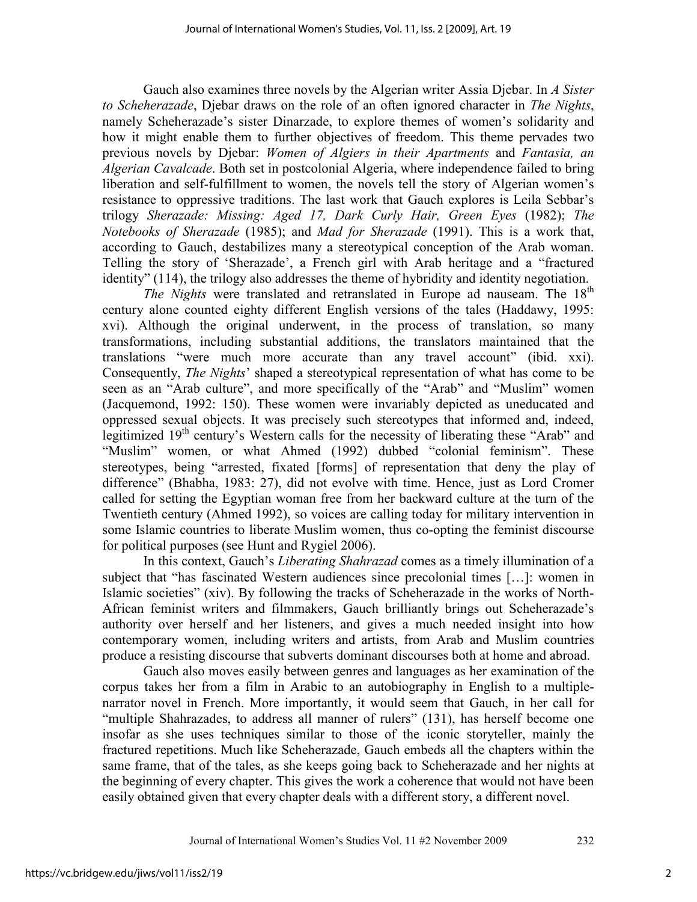Gauch also examines three novels by the Algerian writer Assia Djebar. In *A Sister to Scheherazade*, Djebar draws on the role of an often ignored character in *The Nights*, namely Scheherazade's sister Dinarzade, to explore themes of women's solidarity and how it might enable them to further objectives of freedom. This theme pervades two previous novels by Djebar: *Women of Algiers in their Apartments* and *Fantasia, an Algerian Cavalcade*. Both set in postcolonial Algeria, where independence failed to bring liberation and self-fulfillment to women, the novels tell the story of Algerian women's resistance to oppressive traditions. The last work that Gauch explores is Leila Sebbar's trilogy *Sherazade: Missing: Aged 17, Dark Curly Hair, Green Eyes* (1982); *The Notebooks of Sherazade* (1985); and *Mad for Sherazade* (1991). This is a work that, according to Gauch, destabilizes many a stereotypical conception of the Arab woman. Telling the story of 'Sherazade', a French girl with Arab heritage and a "fractured identity" (114), the trilogy also addresses the theme of hybridity and identity negotiation.

*The Nights* were translated and retranslated in Europe ad nauseam. The 18<sup>th</sup> century alone counted eighty different English versions of the tales (Haddawy, 1995: xvi). Although the original underwent, in the process of translation, so many transformations, including substantial additions, the translators maintained that the translations "were much more accurate than any travel account" (ibid. xxi). Consequently, *The Nights*' shaped a stereotypical representation of what has come to be seen as an "Arab culture", and more specifically of the "Arab" and "Muslim" women (Jacquemond, 1992: 150). These women were invariably depicted as uneducated and oppressed sexual objects. It was precisely such stereotypes that informed and, indeed, legitimized 19<sup>th</sup> century's Western calls for the necessity of liberating these "Arab" and "Muslim" women, or what Ahmed (1992) dubbed "colonial feminism". These stereotypes, being "arrested, fixated [forms] of representation that deny the play of difference" (Bhabha, 1983: 27), did not evolve with time. Hence, just as Lord Cromer called for setting the Egyptian woman free from her backward culture at the turn of the Twentieth century (Ahmed 1992), so voices are calling today for military intervention in some Islamic countries to liberate Muslim women, thus co-opting the feminist discourse for political purposes (see Hunt and Rygiel 2006).

In this context, Gauch's *Liberating Shahrazad* comes as a timely illumination of a subject that "has fascinated Western audiences since precolonial times […]: women in Islamic societies" (xiv). By following the tracks of Scheherazade in the works of North-African feminist writers and filmmakers, Gauch brilliantly brings out Scheherazade's authority over herself and her listeners, and gives a much needed insight into how contemporary women, including writers and artists, from Arab and Muslim countries produce a resisting discourse that subverts dominant discourses both at home and abroad.

Gauch also moves easily between genres and languages as her examination of the corpus takes her from a film in Arabic to an autobiography in English to a multiplenarrator novel in French. More importantly, it would seem that Gauch, in her call for "multiple Shahrazades, to address all manner of rulers" (131), has herself become one insofar as she uses techniques similar to those of the iconic storyteller, mainly the fractured repetitions. Much like Scheherazade, Gauch embeds all the chapters within the same frame, that of the tales, as she keeps going back to Scheherazade and her nights at the beginning of every chapter. This gives the work a coherence that would not have been easily obtained given that every chapter deals with a different story, a different novel.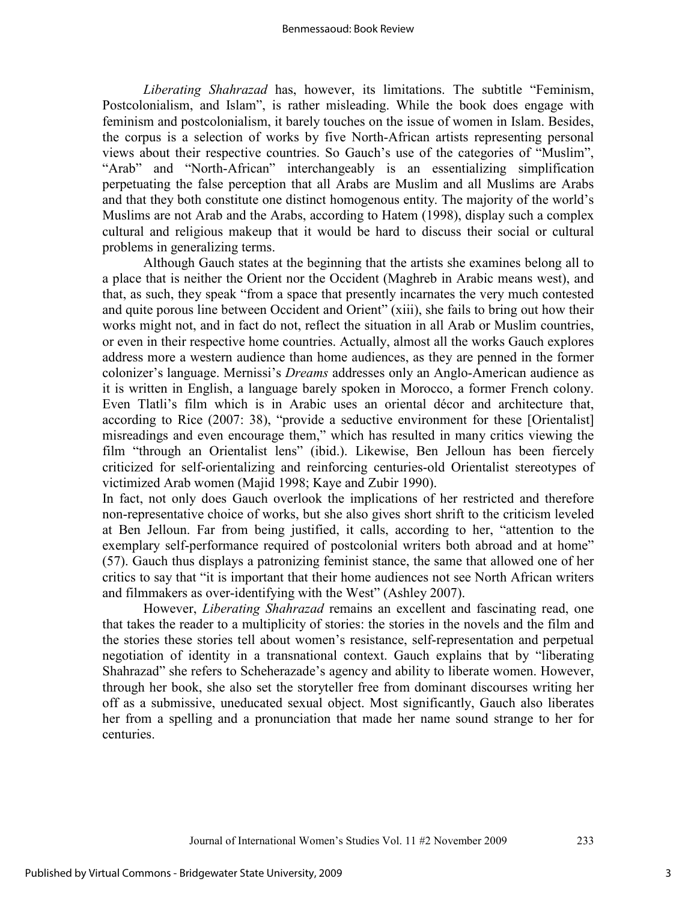*Liberating Shahrazad* has, however, its limitations. The subtitle "Feminism, Postcolonialism, and Islam", is rather misleading. While the book does engage with feminism and postcolonialism, it barely touches on the issue of women in Islam. Besides, the corpus is a selection of works by five North-African artists representing personal views about their respective countries. So Gauch's use of the categories of "Muslim", "Arab" and "North-African" interchangeably is an essentializing simplification perpetuating the false perception that all Arabs are Muslim and all Muslims are Arabs and that they both constitute one distinct homogenous entity. The majority of the world's Muslims are not Arab and the Arabs, according to Hatem (1998), display such a complex cultural and religious makeup that it would be hard to discuss their social or cultural problems in generalizing terms.

Although Gauch states at the beginning that the artists she examines belong all to a place that is neither the Orient nor the Occident (Maghreb in Arabic means west), and that, as such, they speak "from a space that presently incarnates the very much contested and quite porous line between Occident and Orient" (xiii), she fails to bring out how their works might not, and in fact do not, reflect the situation in all Arab or Muslim countries, or even in their respective home countries. Actually, almost all the works Gauch explores address more a western audience than home audiences, as they are penned in the former colonizer's language. Mernissi's *Dreams* addresses only an Anglo-American audience as it is written in English, a language barely spoken in Morocco, a former French colony. Even Tlatli's film which is in Arabic uses an oriental décor and architecture that, according to Rice (2007: 38), "provide a seductive environment for these [Orientalist] misreadings and even encourage them," which has resulted in many critics viewing the film "through an Orientalist lens" (ibid.). Likewise, Ben Jelloun has been fiercely criticized for self-orientalizing and reinforcing centuries-old Orientalist stereotypes of victimized Arab women (Majid 1998; Kaye and Zubir 1990).

In fact, not only does Gauch overlook the implications of her restricted and therefore non-representative choice of works, but she also gives short shrift to the criticism leveled at Ben Jelloun. Far from being justified, it calls, according to her, "attention to the exemplary self-performance required of postcolonial writers both abroad and at home" (57). Gauch thus displays a patronizing feminist stance, the same that allowed one of her critics to say that "it is important that their home audiences not see North African writers and filmmakers as over-identifying with the West" (Ashley 2007).

However, *Liberating Shahrazad* remains an excellent and fascinating read, one that takes the reader to a multiplicity of stories: the stories in the novels and the film and the stories these stories tell about women's resistance, self-representation and perpetual negotiation of identity in a transnational context. Gauch explains that by "liberating Shahrazad" she refers to Scheherazade's agency and ability to liberate women. However, through her book, she also set the storyteller free from dominant discourses writing her off as a submissive, uneducated sexual object. Most significantly, Gauch also liberates her from a spelling and a pronunciation that made her name sound strange to her for centuries.